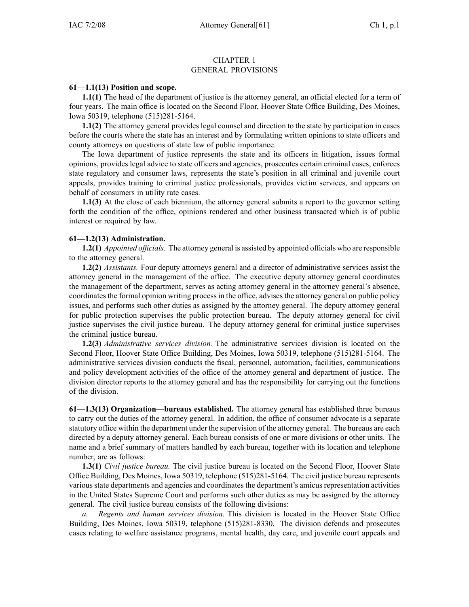## CHAPTER 1 GENERAL PROVISIONS

## **61—1.1(13) Position and scope.**

**1.1(1)** The head of the department of justice is the attorney general, an official elected for <sup>a</sup> term of four years. The main office is located on the Second Floor, Hoover State Office Building, Des Moines, Iowa 50319, telephone (515)281-5164.

**1.1(2)** The attorney general provides legal counsel and direction to the state by participation in cases before the courts where the state has an interest and by formulating written opinions to state officers and county attorneys on questions of state law of public importance.

The Iowa department of justice represents the state and its officers in litigation, issues formal opinions, provides legal advice to state officers and agencies, prosecutes certain criminal cases, enforces state regulatory and consumer laws, represents the state's position in all criminal and juvenile court appeals, provides training to criminal justice professionals, provides victim services, and appears on behalf of consumers in utility rate cases.

**1.1(3)** At the close of each biennium, the attorney general submits <sup>a</sup> repor<sup>t</sup> to the governor setting forth the condition of the office, opinions rendered and other business transacted which is of public interest or required by law.

# **61—1.2(13) Administration.**

**1.2(1)** *Appointed officials.* The attorney general is assisted by appointed officials who are responsible to the attorney general.

**1.2(2)** *Assistants.* Four deputy attorneys general and <sup>a</sup> director of administrative services assist the attorney general in the managemen<sup>t</sup> of the office. The executive deputy attorney general coordinates the managemen<sup>t</sup> of the department, serves as acting attorney general in the attorney general's absence, coordinates the formal opinion writing process in the office, advises the attorney general on public policy issues, and performs such other duties as assigned by the attorney general. The deputy attorney general for public protection supervises the public protection bureau. The deputy attorney general for civil justice supervises the civil justice bureau. The deputy attorney general for criminal justice supervises the criminal justice bureau.

**1.2(3)** *Administrative services division.* The administrative services division is located on the Second Floor, Hoover State Office Building, Des Moines, Iowa 50319, telephone (515)281-5164. The administrative services division conducts the fiscal, personnel, automation, facilities, communications and policy development activities of the office of the attorney general and department of justice. The division director reports to the attorney general and has the responsibility for carrying out the functions of the division.

**61—1.3(13) Organization—bureaus established.** The attorney general has established three bureaus to carry out the duties of the attorney general. In addition, the office of consumer advocate is <sup>a</sup> separate statutory office within the department under the supervision of the attorney general. The bureaus are each directed by <sup>a</sup> deputy attorney general. Each bureau consists of one or more divisions or other units. The name and <sup>a</sup> brief summary of matters handled by each bureau, together with its location and telephone number, are as follows:

**1.3(1)** *Civil justice bureau.* The civil justice bureau is located on the Second Floor, Hoover State Office Building, Des Moines, Iowa 50319, telephone (515)281-5164. The civil justice bureau represents various state departments and agencies and coordinates the department's amicus representation activities in the United States Supreme Court and performs such other duties as may be assigned by the attorney general. The civil justice bureau consists of the following divisions:

*a. Regents and human services division.* This division is located in the Hoover State Office Building, Des Moines, Iowa 50319, telephone (515)281-8330. The division defends and prosecutes cases relating to welfare assistance programs, mental health, day care, and juvenile court appeals and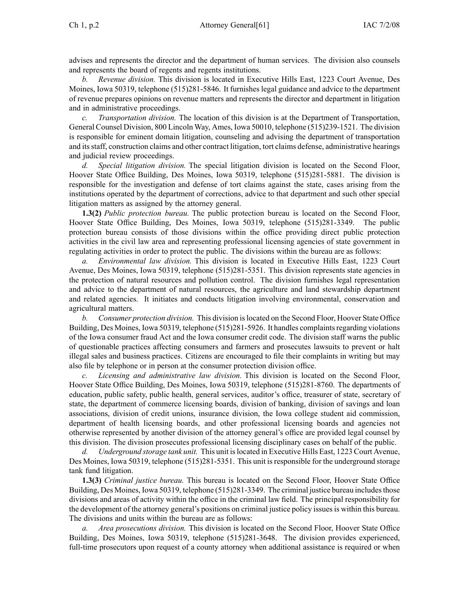advises and represents the director and the department of human services. The division also counsels and represents the board of regents and regents institutions.

*b. Revenue division.* This division is located in Executive Hills East, 1223 Court Avenue, Des Moines, Iowa 50319, telephone (515)281-5846. It furnishes legal guidance and advice to the department of revenue prepares opinions on revenue matters and represents the director and department in litigation and in administrative proceedings.

*c. Transportation division.* The location of this division is at the Department of Transportation, General Counsel Division, 800 Lincoln Way, Ames, Iowa 50010, telephone (515)239-1521. The division is responsible for eminent domain litigation, counseling and advising the department of transportation and itsstaff, construction claims and other contract litigation, tort claims defense, administrative hearings and judicial review proceedings.

*d. Special litigation division.* The special litigation division is located on the Second Floor, Hoover State Office Building, Des Moines, Iowa 50319, telephone (515)281-5881. The division is responsible for the investigation and defense of tort claims against the state, cases arising from the institutions operated by the department of corrections, advice to that department and such other special litigation matters as assigned by the attorney general.

**1.3(2)** *Public protection bureau.* The public protection bureau is located on the Second Floor, Hoover State Office Building, Des Moines, Iowa 50319, telephone (515)281-3349. The public protection bureau consists of those divisions within the office providing direct public protection activities in the civil law area and representing professional licensing agencies of state governmen<sup>t</sup> in regulating activities in order to protect the public. The divisions within the bureau are as follows:

*a. Environmental law division.* This division is located in Executive Hills East, 1223 Court Avenue, Des Moines, Iowa 50319, telephone (515)281-5351. This division represents state agencies in the protection of natural resources and pollution control. The division furnishes legal representation and advice to the department of natural resources, the agriculture and land stewardship department and related agencies. It initiates and conducts litigation involving environmental, conservation and agricultural matters.

*b. Consumer protection division.* This division islocated on the Second Floor, Hoover State Office Building, Des Moines, Iowa 50319, telephone (515)281-5926. It handles complaintsregarding violations of the Iowa consumer fraud Act and the Iowa consumer credit code. The division staff warns the public of questionable practices affecting consumers and farmers and prosecutes lawsuits to preven<sup>t</sup> or halt illegal sales and business practices. Citizens are encouraged to file their complaints in writing but may also file by telephone or in person at the consumer protection division office.

*c. Licensing and administrative law division.* This division is located on the Second Floor, Hoover State Office Building, Des Moines, Iowa 50319, telephone (515)281-8760. The departments of education, public safety, public health, general services, auditor's office, treasurer of state, secretary of state, the department of commerce licensing boards, division of banking, division of savings and loan associations, division of credit unions, insurance division, the Iowa college student aid commission, department of health licensing boards, and other professional licensing boards and agencies not otherwise represented by another division of the attorney general's office are provided legal counsel by this division. The division prosecutes professional licensing disciplinary cases on behalf of the public.

*d. Underground storage tank unit.* This unit islocated in Executive Hills East, 1223 Court Avenue, Des Moines, Iowa 50319, telephone (515)281-5351. This unit is responsible for the underground storage tank fund litigation.

**1.3(3)** *Criminal justice bureau.* This bureau is located on the Second Floor, Hoover State Office Building, Des Moines, Iowa 50319, telephone (515)281-3349. The criminal justice bureau includes those divisions and areas of activity within the office in the criminal law field. The principal responsibility for the development of the attorney general's positions on criminal justice policy issuesis within this bureau. The divisions and units within the bureau are as follows:

*a. Area prosecutions division.* This division is located on the Second Floor, Hoover State Office Building, Des Moines, Iowa 50319, telephone (515)281-3648. The division provides experienced, full-time prosecutors upon reques<sup>t</sup> of <sup>a</sup> county attorney when additional assistance is required or when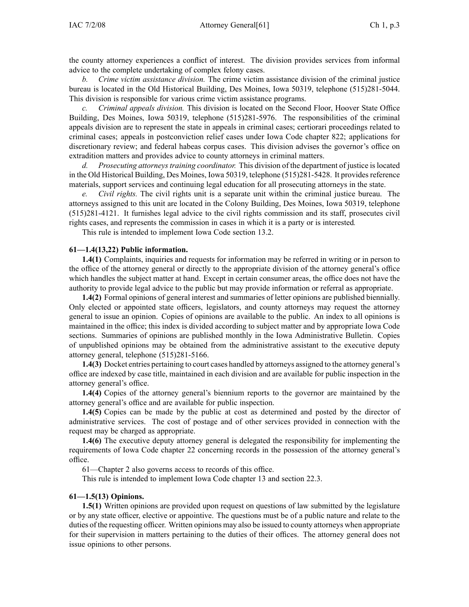the county attorney experiences <sup>a</sup> conflict of interest. The division provides services from informal advice to the complete undertaking of complex felony cases.

*b. Crime victim assistance division.* The crime victim assistance division of the criminal justice bureau is located in the Old Historical Building, Des Moines, Iowa 50319, telephone (515)281-5044. This division is responsible for various crime victim assistance programs.

*c. Criminal appeals division.* This division is located on the Second Floor, Hoover State Office Building, Des Moines, Iowa 50319, telephone (515)281-5976. The responsibilities of the criminal appeals division are to represen<sup>t</sup> the state in appeals in criminal cases; certiorari proceedings related to criminal cases; appeals in postconviction relief cases under Iowa Code chapter 822; applications for discretionary review; and federal habeas corpus cases. This division advises the governor's office on extradition matters and provides advice to county attorneys in criminal matters.

*d. Prosecuting attorneystraining coordinator.* This division of the department of justice islocated in the Old Historical Building, Des Moines, Iowa 50319, telephone (515)281-5428. It provides reference materials, suppor<sup>t</sup> services and continuing legal education for all prosecuting attorneys in the state.

*e. Civil rights.* The civil rights unit is <sup>a</sup> separate unit within the criminal justice bureau. The attorneys assigned to this unit are located in the Colony Building, Des Moines, Iowa 50319, telephone (515)281-4121. It furnishes legal advice to the civil rights commission and its staff, prosecutes civil rights cases, and represents the commission in cases in which it is <sup>a</sup> party or is interested*.*

This rule is intended to implement Iowa Code section 13.2.

#### **61—1.4(13,22) Public information.**

**1.4(1)** Complaints, inquiries and requests for information may be referred in writing or in person to the office of the attorney general or directly to the appropriate division of the attorney general's office which handles the subject matter at hand. Except in certain consumer areas, the office does not have the authority to provide legal advice to the public but may provide information or referral as appropriate.

**1.4(2)** Formal opinions of general interest and summaries of letter opinions are published biennially. Only elected or appointed state officers, legislators, and county attorneys may reques<sup>t</sup> the attorney general to issue an opinion. Copies of opinions are available to the public. An index to all opinions is maintained in the office; this index is divided according to subject matter and by appropriate Iowa Code sections. Summaries of opinions are published monthly in the Iowa Administrative Bulletin. Copies of unpublished opinions may be obtained from the administrative assistant to the executive deputy attorney general, telephone (515)281-5166.

**1.4(3)** Docket entries pertaining to court cases handled by attorneys assigned to the attorney general's office are indexed by case title, maintained in each division and are available for public inspection in the attorney general's office.

**1.4(4)** Copies of the attorney general's biennium reports to the governor are maintained by the attorney general's office and are available for public inspection.

**1.4(5)** Copies can be made by the public at cost as determined and posted by the director of administrative services. The cost of postage and of other services provided in connection with the reques<sup>t</sup> may be charged as appropriate.

**1.4(6)** The executive deputy attorney general is delegated the responsibility for implementing the requirements of Iowa Code chapter 22 concerning records in the possession of the attorney general's office.

61—Chapter 2 also governs access to records of this office.

This rule is intended to implement Iowa Code chapter 13 and section 22.3.

## **61—1.5(13) Opinions.**

**1.5(1)** Written opinions are provided upon reques<sup>t</sup> on questions of law submitted by the legislature or by any state officer, elective or appointive. The questions must be of <sup>a</sup> public nature and relate to the duties of the requesting officer. Written opinions may also be issued to county attorneys when appropriate for their supervision in matters pertaining to the duties of their offices. The attorney general does not issue opinions to other persons.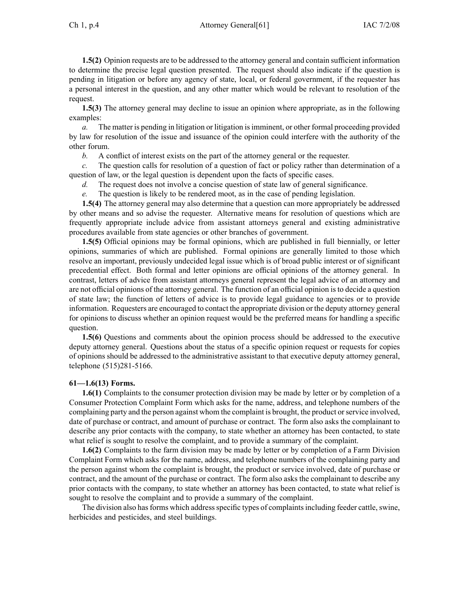**1.5(2)** Opinion requests are to be addressed to the attorney general and contain sufficient information to determine the precise legal question presented. The reques<sup>t</sup> should also indicate if the question is pending in litigation or before any agency of state, local, or federal government, if the requester has <sup>a</sup> personal interest in the question, and any other matter which would be relevant to resolution of the request.

**1.5(3)** The attorney general may decline to issue an opinion where appropriate, as in the following examples:

*a.* The matter is pending in litigation or litigation isimminent, or other formal proceeding provided by law for resolution of the issue and issuance of the opinion could interfere with the authority of the other forum.

*b.* A conflict of interest exists on the par<sup>t</sup> of the attorney general or the requester.

*c.* The question calls for resolution of <sup>a</sup> question of fact or policy rather than determination of <sup>a</sup> question of law, or the legal question is dependent upon the facts of specific cases.

*d.* The reques<sup>t</sup> does not involve <sup>a</sup> concise question of state law of general significance.

*e.* The question is likely to be rendered moot, as in the case of pending legislation.

**1.5(4)** The attorney general may also determine that <sup>a</sup> question can more appropriately be addressed by other means and so advise the requester. Alternative means for resolution of questions which are frequently appropriate include advice from assistant attorneys general and existing administrative procedures available from state agencies or other branches of government.

**1.5(5)** Official opinions may be formal opinions, which are published in full biennially, or letter opinions, summaries of which are published. Formal opinions are generally limited to those which resolve an important, previously undecided legal issue which is of broad public interest or of significant precedential effect. Both formal and letter opinions are official opinions of the attorney general. In contrast, letters of advice from assistant attorneys general represen<sup>t</sup> the legal advice of an attorney and are not official opinions of the attorney general. The function of an official opinion isto decide <sup>a</sup> question of state law; the function of letters of advice is to provide legal guidance to agencies or to provide information. Requesters are encouraged to contact the appropriate division or the deputy attorney general for opinions to discuss whether an opinion reques<sup>t</sup> would be the preferred means for handling <sup>a</sup> specific question.

**1.5(6)** Questions and comments about the opinion process should be addressed to the executive deputy attorney general. Questions about the status of <sup>a</sup> specific opinion reques<sup>t</sup> or requests for copies of opinions should be addressed to the administrative assistant to that executive deputy attorney general, telephone (515)281-5166.

## **61—1.6(13) Forms.**

**1.6(1)** Complaints to the consumer protection division may be made by letter or by completion of <sup>a</sup> Consumer Protection Complaint Form which asks for the name, address, and telephone numbers of the complaining party and the person against whom the complaint is brought, the product orservice involved, date of purchase or contract, and amount of purchase or contract. The form also asks the complainant to describe any prior contacts with the company, to state whether an attorney has been contacted, to state what relief is sought to resolve the complaint, and to provide <sup>a</sup> summary of the complaint.

**1.6(2)** Complaints to the farm division may be made by letter or by completion of <sup>a</sup> Farm Division Complaint Form which asks for the name, address, and telephone numbers of the complaining party and the person against whom the complaint is brought, the product or service involved, date of purchase or contract, and the amount of the purchase or contract. The form also asks the complainant to describe any prior contacts with the company, to state whether an attorney has been contacted, to state what relief is sought to resolve the complaint and to provide <sup>a</sup> summary of the complaint.

The division also has forms which address specific types of complaints including feeder cattle, swine, herbicides and pesticides, and steel buildings.